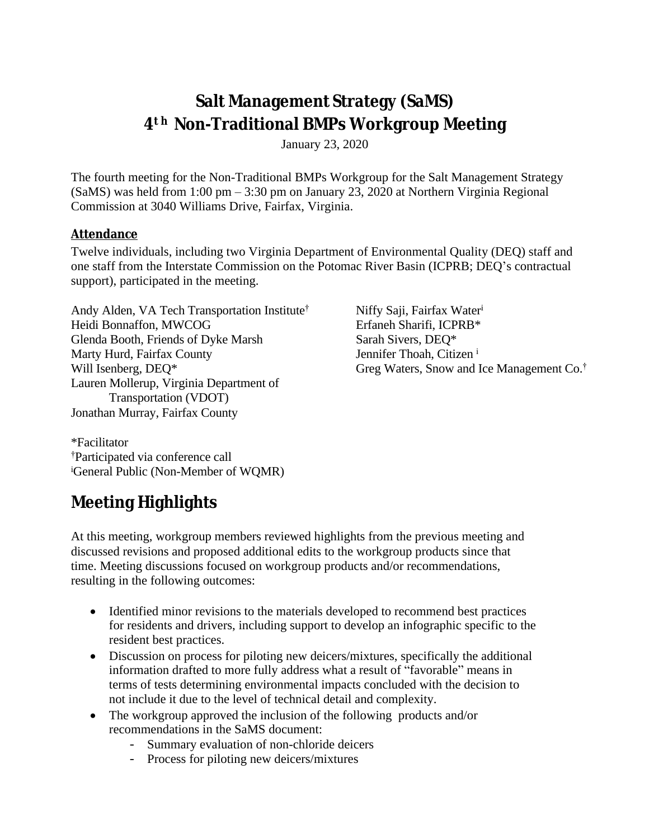## **Salt Management Strategy (SaMS) 4 <sup>t</sup> <sup>h</sup> Non-Traditional BMPs Workgroup Meeting**

January 23, 2020

The fourth meeting for the Non-Traditional BMPs Workgroup for the Salt Management Strategy (SaMS) was held from 1:00 pm – 3:30 pm on January 23, 2020 at Northern Virginia Regional Commission at 3040 Williams Drive, Fairfax, Virginia.

#### **Attendance**

Twelve individuals, including two Virginia Department of Environmental Quality (DEQ) staff and one staff from the Interstate Commission on the Potomac River Basin (ICPRB; DEQ's contractual support), participated in the meeting.

Andy Alden, VA Tech Transportation Institute † Heidi Bonnaffon, MWCOG Glenda Booth, Friends of Dyke Marsh Marty Hurd, Fairfax County Will Isenberg, DEQ\* Lauren Mollerup, Virginia Department of Transportation (VDOT) Jonathan Murray, Fairfax County

Niffy Saji, Fairfax Water<sup>i</sup> Erfaneh Sharifi, ICPRB\* Sarah Sivers, DEQ\* Jennifer Thoah, Citizen i Greg Waters, Snow and Ice Management Co. †

\*Facilitator †Participated via conference call <sup>i</sup>General Public (Non-Member of WQMR)

# **Meeting Highlights**

At this meeting, workgroup members reviewed highlights from the previous meeting and discussed revisions and proposed additional edits to the workgroup products since that time. Meeting discussions focused on workgroup products and/or recommendations, resulting in the following outcomes:

- Identified minor revisions to the materials developed to recommend best practices for residents and drivers, including support to develop an infographic specific to the resident best practices.
- Discussion on process for piloting new deicers/mixtures, specifically the additional information drafted to more fully address what a result of "favorable" means in terms of tests determining environmental impacts concluded with the decision to not include it due to the level of technical detail and complexity.
- The workgroup approved the inclusion of the following products and/or recommendations in the SaMS document:
	- Summary evaluation of non-chloride deicers
	- Process for piloting new deicers/mixtures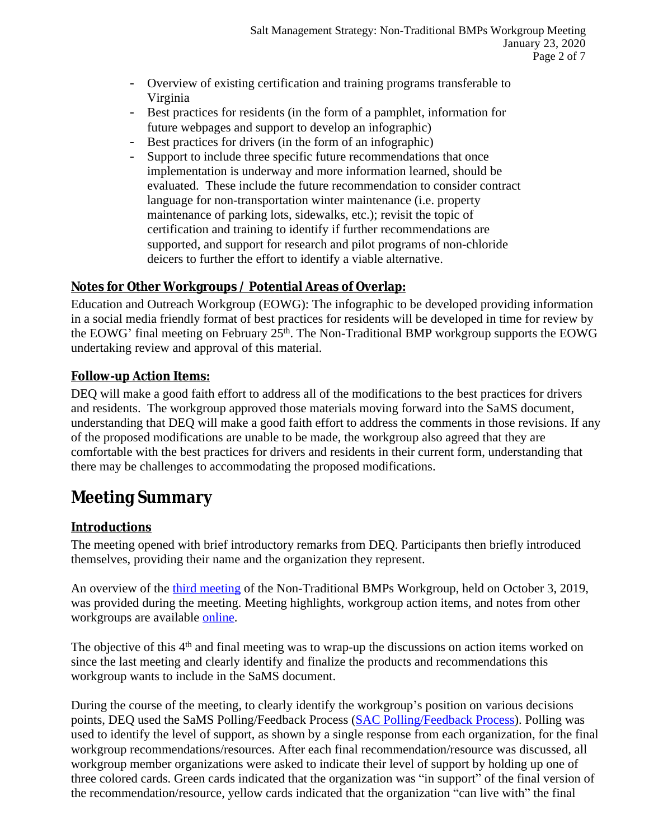- Overview of existing certification and training programs transferable to Virginia
- Best practices for residents (in the form of a pamphlet, information for future webpages and support to develop an infographic)
- Best practices for drivers (in the form of an infographic)
- Support to include three specific future recommendations that once implementation is underway and more information learned, should be evaluated. These include the future recommendation to consider contract language for non-transportation winter maintenance (i.e. property maintenance of parking lots, sidewalks, etc.); revisit the topic of certification and training to identify if further recommendations are supported, and support for research and pilot programs of non-chloride deicers to further the effort to identify a viable alternative.

## **Notes for Other Workgroups / Potential Areas of Overlap:**

Education and Outreach Workgroup (EOWG): The infographic to be developed providing information in a social media friendly format of best practices for residents will be developed in time for review by the EOWG' final meeting on February 25<sup>th</sup>. The Non-Traditional BMP workgroup supports the EOWG undertaking review and approval of this material.

### **Follow-up Action Items:**

DEQ will make a good faith effort to address all of the modifications to the best practices for drivers and residents. The workgroup approved those materials moving forward into the SaMS document, understanding that DEQ will make a good faith effort to address the comments in those revisions. If any of the proposed modifications are unable to be made, the workgroup also agreed that they are comfortable with the best practices for drivers and residents in their current form, understanding that there may be challenges to accommodating the proposed modifications.

## **Meeting Summary**

## **Introductions**

The meeting opened with brief introductory remarks from DEQ. Participants then briefly introduced themselves, providing their name and the organization they represent.

An overview of the [third meeting of the](https://www.deq.virginia.gov/Portals/0/DEQ/Water/TMDL/SaMS/MeetingMaterials/NTBwg/Meeting3/SaMS_NTB_3rdMtgMinutes_20191003.pdf) [Non-Traditional BMPs Workgroup,](https://www.deq.virginia.gov/Portals/0/DEQ/Water/TMDL/SaMS/MeetingMaterials/NTBwg/Meeting3/SaMS_NTB_3rdMtgMinutes_20191003.pdf) held on October 3, 2019, [was provided during the meeting. Meeting](https://www.deq.virginia.gov/Portals/0/DEQ/Water/TMDL/SaMS/MeetingMaterials/NTBwg/Meeting3/SaMS_NTB_3rdMtgMinutes_20191003.pdf) [highlights, workgroup action items, and notes from other](https://www.deq.virginia.gov/Portals/0/DEQ/Water/TMDL/SaMS/MeetingMaterials/NTBwg/Meeting3/SaMS_NTB_3rdMtgMinutes_20191003.pdf)  [workgroups are available](https://www.deq.virginia.gov/Portals/0/DEQ/Water/TMDL/SaMS/MeetingMaterials/NTBwg/Meeting3/SaMS_NTB_3rdMtgMinutes_20191003.pdf) [online](https://www.deq.virginia.gov/SaMS/MeetingMaterials.aspx).

The objective of this 4<sup>th</sup> and final meeting was to wrap-up the discussions on action items worked on since the last meeting and clearly identify and finalize the products and recommendations this workgroup wants to include in the SaMS document.

During the course of the meeting, to clearly identify the workgroup's position on various decisions points, DEQ used the SaMS Polling/Feedback Process ([SAC Polling/Feedback Process\)](https://www.deq.virginia.gov/Portals/0/DEQ/Water/TMDL/SaMS/MeetingMaterials/SAC3/SaMS_IP_SAC3_PollingProcess.pdf). Polling was used to identify the level of support, as shown by a single response from each organization, for the final workgroup recommendations/resources. After each final recommendation/resource was discussed, all workgroup member organizations were asked to indicate their level of support by holding up one of three colored cards. Green cards indicated that the organization was "in support" of the final version of the recommendation/resource, yellow cards indicated that the organization "can live with" the final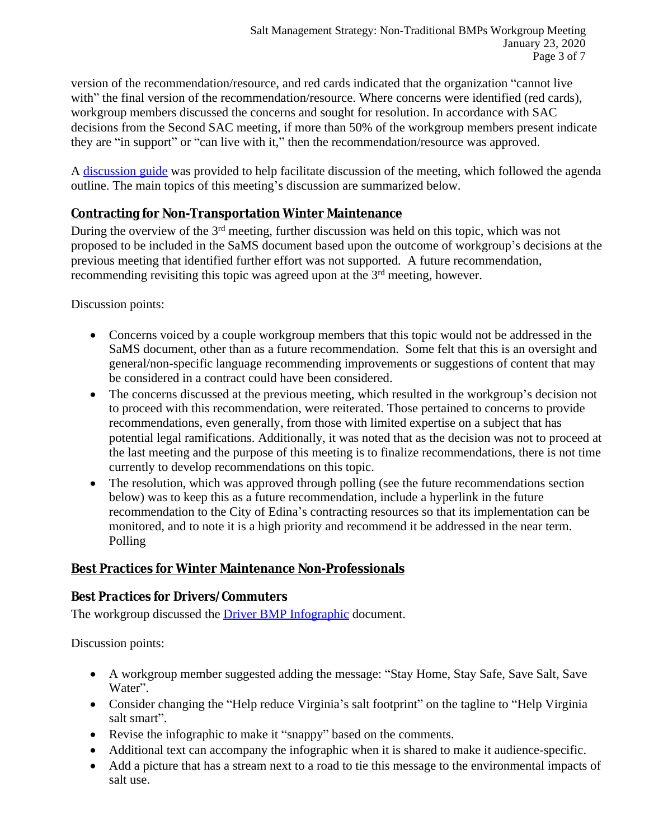version of the recommendation/resource, and red cards indicated that the organization "cannot live with" the final version of the recommendation/resource. Where concerns were identified (red cards), workgroup members discussed the concerns and sought for resolution. In accordance with SAC decisions from the Second SAC meeting, if more than 50% of the workgroup members present indicate they are "in support" or "can live with it," then the recommendation/resource was approved.

A [discussion guide](https://www.deq.virginia.gov/Portals/0/DEQ/Water/TMDL/SaMS/MeetingMaterials/NTBwg/Meeting4/SaMS_NTB_4th_Mtg_Discussion_Guide_20200123.pdf) was provided to help facilitate discussion of the meeting, which followed the [agenda](https://www.deq.virginia.gov/Portals/0/DEQ/Water/TMDL/SaMS/MeetingMaterials/NTBwg/Meeting4/SaMS_NTB_4th_Mtg_Agenda_20200123.pdf) outline. The main topics of this meeting's discussion are summarized below.

### **Contracting for Non-Transportation Winter Maintenance**

During the overview of the 3rd meeting, further discussion was held on this topic, which was not proposed to be included in the SaMS document based upon the outcome of workgroup's decisions at the previous meeting that identified further effort was not supported. A future recommendation, recommending revisiting this topic was agreed upon at the 3<sup>rd</sup> meeting, however.

Discussion points:

- Concerns voiced by a couple workgroup members that this topic would not be addressed in the SaMS document, other than as a future recommendation. Some felt that this is an oversight and general/non-specific language recommending improvements or suggestions of content that may be considered in a contract could have been considered.
- The concerns discussed at the previous meeting, which resulted in the workgroup's decision not to proceed with this recommendation, were reiterated. Those pertained to concerns to provide recommendations, even generally, from those with limited expertise on a subject that has potential legal ramifications. Additionally, it was noted that as the decision was not to proceed at the last meeting and the purpose of this meeting is to finalize recommendations, there is not time currently to develop recommendations on this topic.
- The resolution, which was approved through polling (see the future recommendations section below) was to keep this as a future recommendation, include a hyperlink in the future recommendation to the City of Edina's contracting resources so that its implementation can be monitored, and to note it is a high priority and recommend it be addressed in the near term. Polling

## **Best Practices for Winter Maintenance Non-Professionals**

## *Best Practices for Drivers/Commuters*

The workgroup discussed the [Driver BMP Infographic](https://www.deq.virginia.gov/Portals/0/DEQ/Water/TMDL/SaMS/MeetingMaterials/NTBwg/Meeting4/SaMSDriverBMPs.zip) document.

Discussion points:

- A workgroup member suggested adding the message: "Stay Home, Stay Safe, Save Salt, Save Water".
- Consider changing the "Help reduce Virginia's salt footprint" on the tagline to "Help Virginia" salt smart".
- Revise the infographic to make it "snappy" based on the comments.
- Additional text can accompany the infographic when it is shared to make it audience-specific.
- Add a picture that has a stream next to a road to tie this message to the environmental impacts of salt use.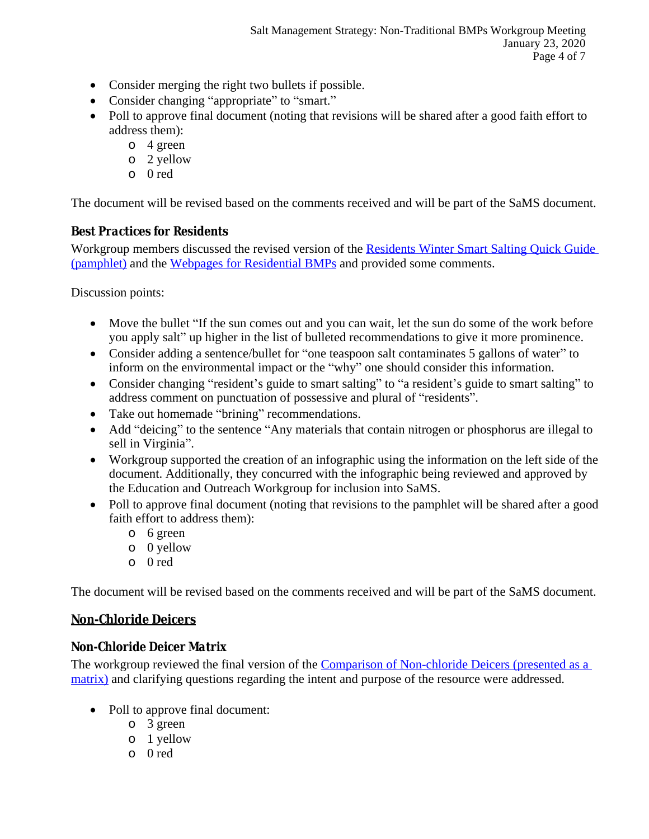- Consider merging the right two bullets if possible.
- Consider changing "appropriate" to "smart."
- Poll to approve final document (noting that revisions will be shared after a good faith effort to address them):
	- o 4 green
	- o 2 yellow
	- o 0 red

The document will be revised based on the comments received and will be part of the SaMS document.

### *Best Practices for Residents*

Workgroup members discussed the revised version of the Residents Winter Smart Salting Quick Guide (pamphlet) and the [Webpages for Residential BMPs](https://www.deq.virginia.gov/Portals/0/DEQ/Water/TMDL/SaMS/MeetingMaterials/NTBwg/Meeting4/Webpages_for_Residential_BMPs.pdf) and provided some comments.

Discussion points:

- Move the bullet "If the sun comes out and you can wait, let the sun do some of the work before you apply salt" up higher in the list of bulleted recommendations to give it more prominence.
- Consider adding a sentence/bullet for "one teaspoon salt contaminates 5 gallons of water" to inform on the environmental impact or the "why" one should consider this information.
- Consider changing "resident's guide to smart salting" to "a resident's guide to smart salting" to address comment on punctuation of possessive and plural of "residents".
- Take out homemade "brining" recommendations.
- Add "deicing" to the sentence "Any materials that contain nitrogen or phosphorus are illegal to sell in Virginia".
- Workgroup supported the creation of an infographic using the information on the left side of the document. Additionally, they concurred with the infographic being reviewed and approved by the Education and Outreach Workgroup for inclusion into SaMS.
- Poll to approve final document (noting that revisions to the pamphlet will be shared after a good faith effort to address them):
	- o 6 green
	- o 0 yellow
	- o 0 red

The document will be revised based on the comments received and will be part of the SaMS document.

## **Non-Chloride Deicers**

### *Non-Chloride Deicer Matrix*

The workgroup reviewed the final version of the Comparison of Non-chloride Deicers (presented as a matrix) and clarifying questions regarding the intent and purpose of the resource were addressed.

- Poll to approve final document:
	- o 3 green
	- o 1 yellow
	- o 0 red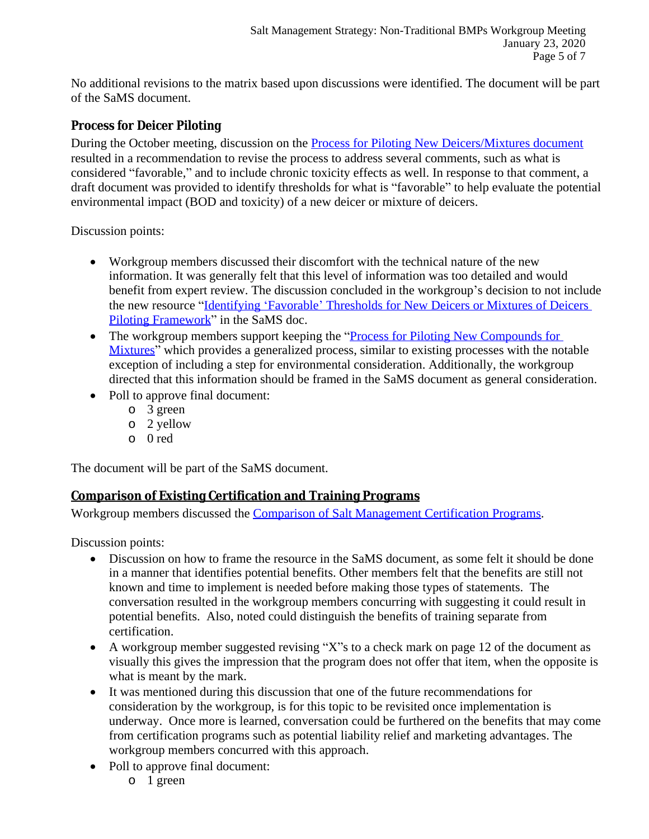No additional revisions to the matrix based upon discussions were identified. The document will be part of the SaMS document.

#### *Process for Deicer Piloting*

During the October meeting, discussion on the **[Process for Piloting New Deicers/Mixtures document](https://www.deq.virginia.gov/Portals/0/DEQ/Water/TMDL/SaMS/MeetingMaterials/NTBwg/Meeting4/SaMS_NTB_DRAFT_ProcessForPilotingNewCompoundsorMixtures_20190605.pdf)** resulted in a recommendation to revise the process to address several comments, such as what is considered "favorable," and to include chronic toxicity effects as well. In response to that comment, a draft document was provided to identify thresholds for what is "favorable" to help evaluate the potential environmental impact (BOD and toxicity) of a new deicer or mixture of deicers.

Discussion points:

- Workgroup members discussed their discomfort with the technical nature of the new information. It was generally felt that this level of information was too detailed and would benefit from expert review. The discussion concluded in the workgroup's decision to not include the new resource "Identifying 'Favorable' [Thresholds for New Deicers or Mixtures of Deicers](https://www.deq.virginia.gov/Portals/0/DEQ/Water/TMDL/SaMS/MeetingMaterials/NTBwg/Meeting4/SaMS_IP_NTB_DeicerPilotingFrameworkThresholds.pdf)  Piloting Framework" in the SaMS doc.
- The workgroup members support keeping the "Process for Piloting New Compounds for Mixtures" which provides a generalized process, similar to existing processes with the notable exception of including a step for environmental consideration. Additionally, the workgroup directed that this information should be framed in the SaMS document as general consideration.
- Poll to approve final document:
	- o 3 green
	- o 2 yellow
	- o 0 red

The document will be part of the SaMS document.

### **Comparison of Existing Certification and Training Programs**

Workgroup members discussed the [Comparison of Salt Management Certification Programs.](https://www.deq.virginia.gov/Portals/0/DEQ/Water/TMDL/SaMS/MeetingMaterials/NTBwg/Meeting3/SaMS_NTB_DRAFT_Certification-Training_Program_Comparison_20190920.pdf)

Discussion points:

- Discussion on how to frame the resource in the SaMS document, as some felt it should be done in a manner that identifies potential benefits. Other members felt that the benefits are still not known and time to implement is needed before making those types of statements. The conversation resulted in the workgroup members concurring with suggesting it could result in potential benefits. Also, noted could distinguish the benefits of training separate from certification.
- A workgroup member suggested revising "X"s to a check mark on page 12 of the document as visually this gives the impression that the program does not offer that item, when the opposite is what is meant by the mark.
- It was mentioned during this discussion that one of the future recommendations for consideration by the workgroup, is for this topic to be revisited once implementation is underway. Once more is learned, conversation could be furthered on the benefits that may come from certification programs such as potential liability relief and marketing advantages. The workgroup members concurred with this approach.
- Poll to approve final document:
	- o 1 green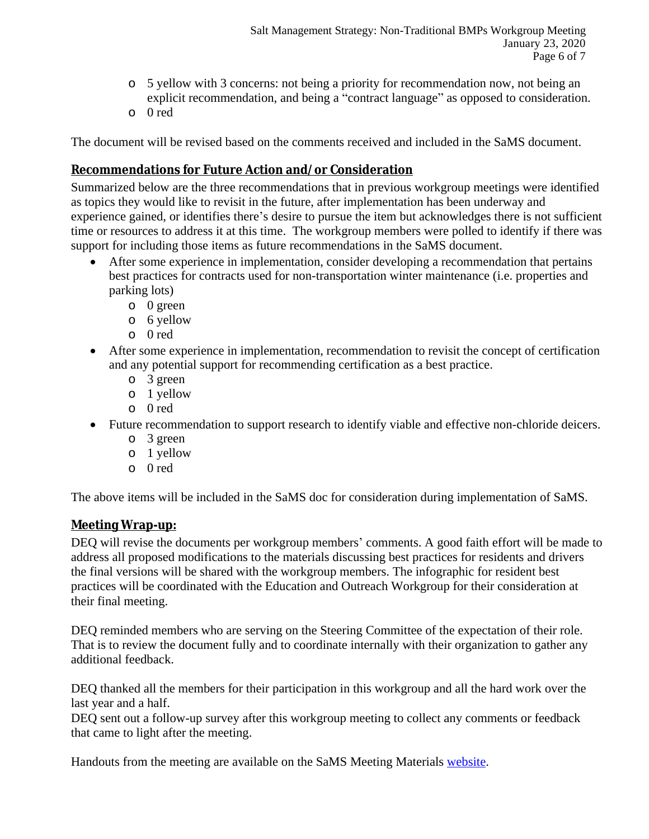- o 5 yellow with 3 concerns: not being a priority for recommendation now, not being an explicit recommendation, and being a "contract language" as opposed to consideration.
- o 0 red

The document will be revised based on the comments received and included in the SaMS document.

### **Recommendations for Future Action and/or Consideration**

Summarized below are the three recommendations that in previous workgroup meetings were identified as topics they would like to revisit in the future, after implementation has been underway and experience gained, or identifies there's desire to pursue the item but acknowledges there is not sufficient time or resources to address it at this time. The workgroup members were polled to identify if there was support for including those items as future recommendations in the SaMS document.

- After some experience in implementation, consider developing a recommendation that pertains best practices for contracts used for non-transportation winter maintenance (i.e. properties and parking lots)
	- o 0 green
	- o 6 yellow
	- o 0 red
- After some experience in implementation, recommendation to revisit the concept of certification and any potential support for recommending certification as a best practice.
	- o 3 green
	- o 1 yellow
	- o 0 red
- Future recommendation to support research to identify viable and effective non-chloride deicers.
	- o 3 green
	- o 1 yellow
	- o 0 red

The above items will be included in the SaMS doc for consideration during implementation of SaMS.

### **Meeting Wrap-up:**

DEQ will revise the documents per workgroup members' comments. A good faith effort will be made to address all proposed modifications to the materials discussing best practices for residents and drivers the final versions will be shared with the workgroup members. The infographic for resident best practices will be coordinated with the Education and Outreach Workgroup for their consideration at their final meeting.

DEQ reminded members who are serving on the Steering Committee of the expectation of their role. That is to review the document fully and to coordinate internally with their organization to gather any additional feedback.

DEQ thanked all the members for their participation in this workgroup and all the hard work over the last year and a half.

DEQ sent out a follow-up survey after this workgroup meeting to collect any comments or feedback that came to light after the meeting.

Handouts from the meeting are available on the SaMS Meeting Materials [website.](https://www.deq.virginia.gov/SaMS/MeetingMaterials.aspx)